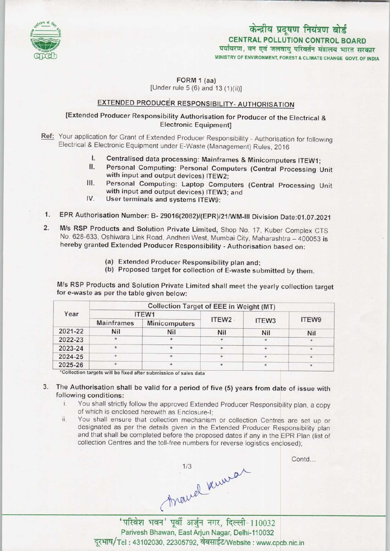

# CENTRAL POLLUTION CONTROL BOARD केन्द्रीय प्रदूषण नियंत्रण बोर्ड<br>CENTRAL POLLUTION CONTROL BOARD<br>पर्यावरण, वन एवं जलवायु परिवर्तन मंत्रालय भारत सरकार MINISTRY OF ENVIRONMENT, FOREST & CLIMATE CHANGE GOVT. OF INDIA

FORM 1 (aa)

[Under rule 5 (6) and 13 (1)(ii)]

# EXTENDED PRODUCER RESPONSIBILITY- AUTHORISATION

## [Extended Producer Responsibility Authorisation for Producer of the Electrical & Electronic Equipment]

- Ref: Your application for Grant of Extended Producer Responsibility Authorisation for following Electrical & Electronic Equipment under E-Waste (Management) Rules, 2016
	- I. Centralised data processing: Mainframes & Minicomputers ITEW1;<br>II. Personal Computing: Personal Computers (Central Processing J.
	- II. Personal Computing: Personal Computers (Central Processing Unit<br>
	with input and output devices) ITEW2;<br>
	III. Personal Computing: Laptop Computers (Central Processing Unit<br>
	with input and output devices) ITEW3: and with input and output devices) ITEW2;
	- with input and output devices) ITEW3; and<br>User terminals and systems ITEW9: III. Personal Computing: Laptop Computers (Central Processing Unit with input and output devices) ITEW3; and<br>IV. User terminals and systems ITEW9:
	-
- 1.EPR Authorisation Number: B-29016(2082)/(EPR)/21/WM-lll Division Date:01.07.2021
- 2. EPR Authorisation Number: B- 29016(2082)/(EPR)/21/WM-III Division Date:01.07.202<br>2. M/s RSP Products and Solution Private Limited, Shop No. 17, Kuber Complex CTS M/s RSP Products and Solution Private Limited, Shop No. 17, Kuber Complex CTS<br>No. 628-633, Oshiwara Link Road, Andheri West, Mumbai City, Maharashtra - 400053 is hereby granted Extended Producer Responsibility - Authorisation based on:
	- (a)Extended Producer Responsibility plan and;
	- (b) Proposed target for collection of E-waste submitted by them.

M/s RSP Products and Solution Private Limited shall meet the yearly collection target for e-waste as per the table given below:

| Year    | <b>Collection Target of EEE in Weight (MT)</b> |               |                   |         |         |
|---------|------------------------------------------------|---------------|-------------------|---------|---------|
|         | ITEW1                                          |               |                   |         |         |
|         | <b>Mainframes</b>                              | Minicomputers | ITEW <sub>2</sub> | ITEW3   | ITEW9   |
| 2021-22 | <b>Nil</b>                                     | <b>Nil</b>    | Nil               | Nil     | Nil     |
| 2022-23 | $\star$                                        |               | $\pmb{\star}$     | $\star$ |         |
| 2023-24 | $\star$                                        |               | $\star$           | $\ast$  |         |
| 2024-25 | $\star$                                        | $\star$       | $\star$           | $\star$ | $\star$ |
| 2025-26 | $\star$                                        |               | $\star$           | $\star$ | 常       |

'Collection targets will be fixed after submission of sales data

## 3. The Authorisation shall be valid for a period of five (5) years from date of issue with following conditions:

- i. You shall strictly follow the approved Extended Producer Responsibility plan, <sup>a</sup> copy of which is enclosed herewith as Enclosure-I;
- ii. You shall ensure that collection mechanism or collection Centres are set up or designated as per the details given in the Extended Producer Responsibility plan and that shall be completed before the proposed datesif any in the EPR Plan (list of collection Centres and the toll-free numbers for reverse logistics enclosed);

Hyawel Www.al<br>Than 21 Marshall<br>Than 21 110032

Contd...

Parivesh Bhawan, East Arjun Nagar, Delhi-110032 दूरभाष/Tel: 43102030, 22305792, वेबसाईट/Website : www.cpcb.nic.in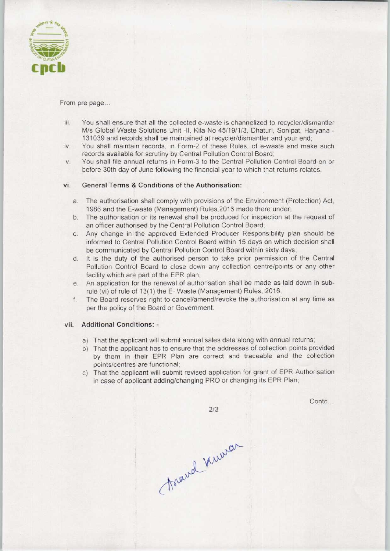

From pre page...

- iii. You shall ensure that all the collected e-waste is channelized to recycler/dismantler M/s Global Waste Solutions Unit -II, Kila No 45/19/1/3, Dhaturi, Sonipat, Haryana - 131039 and records shall be maintained at recycler/dismantler and your end;
- iv. You shall maintain records, in Form-2 of these Rules, of e-waste and make such records available for scrutiny by Central Pollution Control Board;
- v. You shall file annual returns in Form-3 to the Central Pollution Control Board on or before 30th day of June following the financial year to which that returns relates.

### vi. General Terms & Conditions of the Authorisation:

- a.The authorisation shall comply with provisions of the Environment (Protection) Act, 1986 and the E-waste (Management) Rules,2016 made there under;
- b.The authorisation or its renewal shall be produced for inspection at the request of an officer authorised by the Central Pollution Control Board;
- c.Any change in the approved Extended Producer Responsibility plan should be informed to Central Pollution Control Board within 15 days on which decision shall be communicated by Central Pollution Control Board within sixty days;
- d. It is the duty of the authorised person to take prior permission of the Central Pollution Control Board to close down any collection centre/points or any other facility which are part of the EPR plan;
- e.An application for the renewal of authorisation shall be made aslaid down in subrule (vi) of rule of 13(1) the E-Waste (Management) Rules, 2016;
- f.The Board reserves right to cancel/amend/revoke the authorisation at any time as per the policy of the Board or Government.

### vii. Additional Conditions: -

- a) That the applicant will submit annual sales data along with annual returns;
- b) That the applicant has to ensure that the addresses of collection points provided by them in their EPR Plan are correct and traceable and the collection points/centres are functional;
- c) That the applicant will submit revised application for grant of EPR Authorisation in case of applicant adding/changing PRO or changing its EPR Plan;

 $2/3$ 

Contd...

toand numer